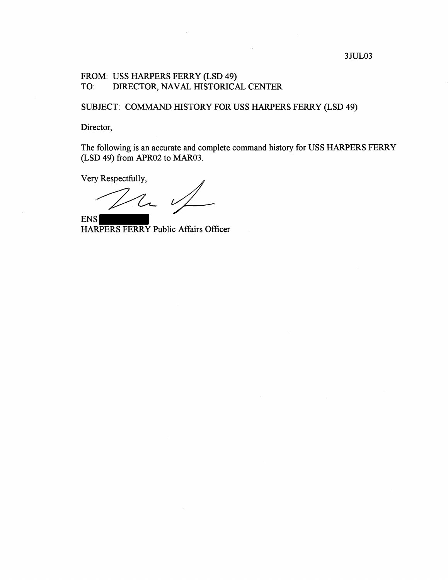# FROM: USS HARPERS FERRY (LSD 49)<br>TO: DIRECTOR NAVAL HISTORICA DIRECTOR, NAVAL HISTORICAL CENTER

SUBJECT: COMMAND HISTORY FOR USS HARPERS FERRY (LSD 49)

Director,

The following is an accurate and complete command history for USS HARPERS FERRY (LSD 49) from APR02 to MAR03.

Very Respectfully,

 $\ell$ 

ENS HARPERS FERRY Public Affairs Oficer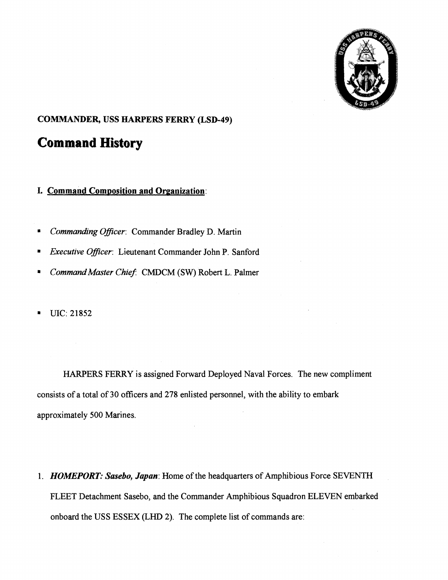

# **COMMANDER, USS HARPERS FERRY (LSD-49)**

# **Command History**

# **I. Command Composition and Organization:**

- *Commanding Officer:* Commander Bradley D. Martin n
- *Executive Officer:* Lieutenant Commander John P. Sanford
- *CommandMaster Chief'* CMDCM (SW) Robert L. Palmer  $\blacksquare$
- UIC: 21852

HARPERS FERRY is assigned Forward Deployed Naval Forces. The new compliment consists of a total of 30 officers and **278** enlisted personnel, with the ability to embark approximately 500 Marines.

1. HOMEPORT: *Sasebo, Japan:* Home of the headquarters of Amphibious Force SEVENTH FLEET Detachment Sasebo, and the Commander Amphibious Squadron ELEVEN embarked onboard the USS ESSEX (LHD 2). The complete list of commands are: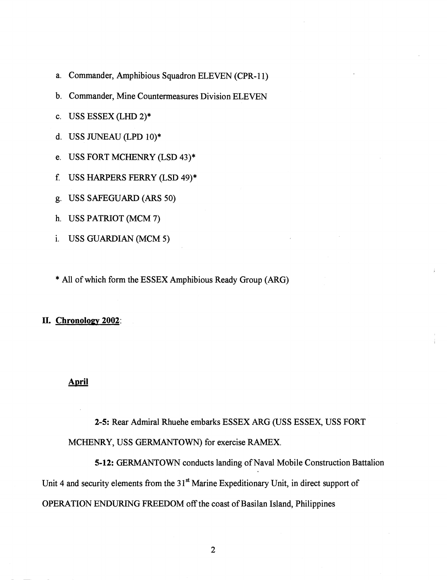- a. Commander, Amphibious Squadron ELEVEN (CPR-11)
- b. Commander, Mine Countermeasures Division ELEVEN
- c. USS ESSEX(LHD 2)\*
- d. USS JUNEAU (LPD 10)\*
- e. USS FORT MCHENRY (LSD 43)\*
- f. USS HARPERS FERRY (LSD **49)\***
- **g.** USS SAFEGUARD (ARS 50)
- h. USS PATRIOT (MCM 7)
- i. USS GUARDIAN (MCM 5)
- \* All of which form the ESSEX Amphibious Ready Group **(ARG)**

#### **11. Chronoloev 2002:**

#### **April**

**2-5:** Rear Admiral Rhuehe embarks ESSEX ARG (USS ESSEX, USS FORT MCHENRY, USS GERMANTOWN) for exercise RAMEX.

**5-12:** GERMANTOWN conducts landing of Naval Mobile Construction Battalion Unit 4 and security elements from the 31<sup>st</sup> Marine Expeditionary Unit, in direct support of OPERATION ENDURING FREEDOM off the coast of Basilan Island, Philippines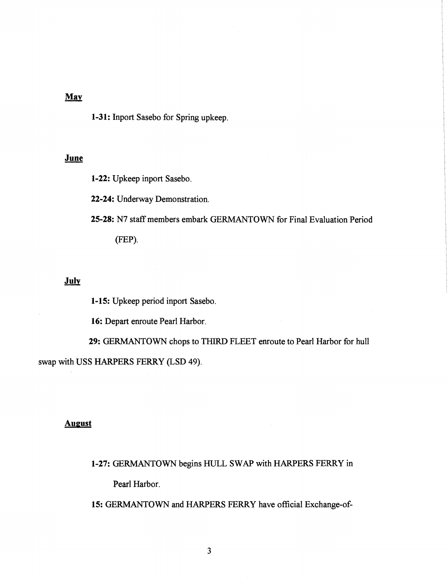# May

**1-31:** Inport Sasebo for Spring upkeep.

# - **June**

**1-22:** Upkeep inport Sasebo.

**22-24:** Underway Demonstration.

**25-28:** N7 staff members embark GERMANTOWN for Final Evaluation Period

(FEP).

# July

**1-15:** Upkeep period inport Sasebo.

**16:** Depart enroute Pearl Harbor.

**29:** GERMANTOWN chops to THIRD FLEET enroute to Pearl Harbor for hull swap with USS HARPERS FERRY (LSD 49).

#### **August**

**1-27:** GERMANTOWN begins HULL SWAP with HARPERS FERRY in

Pearl Harbor.

**15:** GERMANTOWN and HARPERS FERRY have official Exchange-of-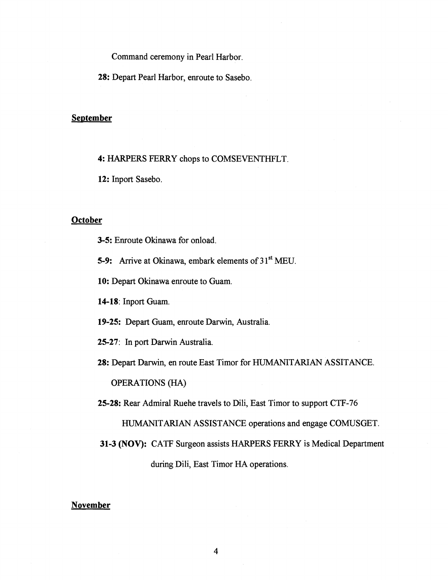Command ceremony in Pearl Harbor.

**28:** Depart Pearl Harbor, enroute to Sasebo.

#### **September**

**4:** HARPERS **FERRY** chops to COMSEVENTHFLT.

**12:** Inport Sasebo.

#### **October**

**3-5:** Enroute Okinawa for onload.

**5-9:** Arrive at Okinawa, embark elements of **3 1"** MEU.

**10:** Depart Okinawa enroute to Guam.

**14-18:** Inport Guam.

**19-25:** Depart Guam, enroute Darwin, Australia.

**25-27:** In port Darwin Australia.

**28:** Depart Darwin, en route East Timor for HUMANITARIAN ASSITANCE.

OPERATIONS (HA)

**25-28:** Rear Admiral Ruehe travels to Dili, East Timor to support CTF-76

HUMANITARIAN ASSISTANCE operations and engage COMUSGET.

**31-3 (NOV):** CATF Surgeon assists HARPERS FERRY is Medical Department during Dili, East Timor HA operations.

#### **November**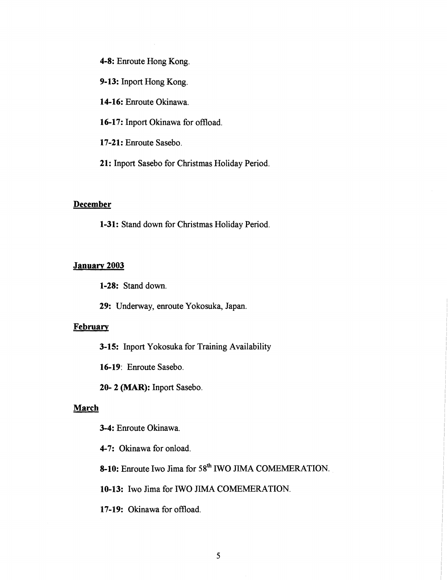**4-8:** Enroute Hong Kong.

**9-13:** Inport Hong Kong.

**14-16:** Enroute Okinawa.

**16-17:** Inport Okinawa for offload.

**17-21:** Enroute Sasebo.

**21:** Inport Sasebo for Christmas Holiday Period.

# **December**

**1-31:** Stand down for Christmas Holiday Period.

#### **Januarv 2003**

**1-28:** Stand down.

**29:** Underway, enroute Yokosuka, Japan.

#### **February**

**3-15:** Inport Yokosuka for Training Availability

**16-19:** Enroute Sasebo.

**20- 2** (MAR): Inport Sasebo.

### **March**

**3-4:** Enroute Okinawa.

**4-7:** Okinawa for onload.

8-10: Enroute Iwo Jima for 58<sup>th</sup> IWO JIMA COMEMERATION.

**10-13:** Iwo Jima for IWO JIMA COMEMERATION.

**17-19:** Okinawa for offload.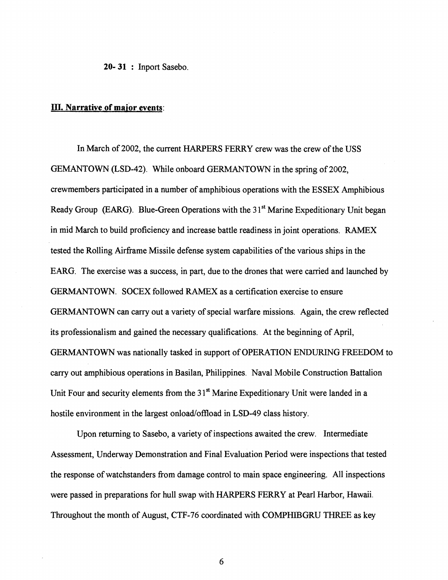20- 31 : Inport Sasebo.

#### III. **Narrative of maior events:**

In March of 2002, the current HARPERS FERRY crew was the crew of the USS GEMANTOWN (LSD-42). While onboard GERMANTOWN in the spring of 2002, crewmembers participated in a number of amphibious operations with the ESSEX Amphibious Ready Group (EARG). Blue-Green Operations with the **3** 1" Marine Expeditionary Unit began in mid March to build proficiency and increase battle readiness in joint operations. **RAMEX**  tested the Rolling Airframe Missile defense system capabilities of the various ships in the EARG. The exercise was a success, in part, due to the drones that were carried and launched by GERMANTOWN. SOCEX followed RAMEX as a certification exercise to ensure GERMANTOWN can carry out a variety of special warfare missions. Again, the crew reflected its professionalism and gained the necessary qualifications. At the beginning of April, GERMANTOWN was nationally tasked in support of OPERATION ENDURING FREEDOM to carry out amphibious operations in Basilan, Philippines. Naval Mobile Construction Battalion Unit Four and security elements fiom the **3 1'** Marine Expeditionary Unit were landed in a hostile environment in the largest onload/offload in LSD-49 class history.

Upon returning to Sasebo, a variety of inspections awaited the crew. Intermediate Assessment, Underway Demonstration and Final Evaluation Period were inspections that tested the response of watchstanders fiom damage control to main space engineering. All inspections were passed in preparations for hull swap with HARPERS FERRY at Pearl Harbor, Hawaii. Throughout the month of August, CTF-76 coordinated with COMPHIBGRU THREE as key

6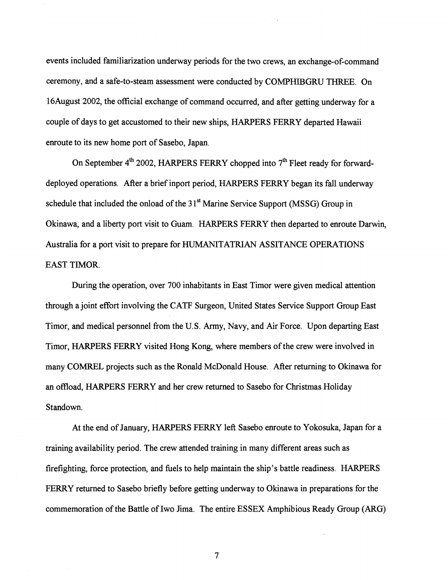events included familiarization underway periods for the two crews, an exchange-of-command ceremony, and a safe-to-steam assessment were conducted by COMPHTBGRU THREE. On 16August 2002, the official exchange of command occurred, and after getting underway for a couple of days to get accustomed to their new ships, HARPERS FERRY departed Hawaii enroute to its new home port of Sasebo, Japan.

On September 4<sup>th</sup> 2002, HARPERS FERRY chopped into 7<sup>th</sup> Fleet ready for forwarddeployed operations. After a brief inport period, HARPERS FERRY began its fall underway schedule that included the onload of the **3** 1"' Marine Service Support (MSSG) Group in Okinawa, and a liberty port visit to Guam. HARPERS FERRY then departed to enroute Darwin, Australia for a port visit to prepare for HUMANITATRIAN ASSITANCE OPERATIONS EAST TIMOR.

During the operation, over 700 inhabitants in East Timor were given medical attention through a joint effort involving the CATF Surgeon, United States Service Support Group East Timor, and medical personnel from the U.S. Amy, Navy, and Air Force. Upon departing East Timor, HARPERS FERRY visited Hong Kong, where members of the crew were involved in many COMREL projects such as the Ronald McDonald House. After returning to Okinawa for an offload, HARPERS FERRY and her crew returned to Sasebo for Christmas Holiday Standown.

At the end of January, HARPERS FERRY left Sasebo enroute to Yokosuka, Japan for a training availability period. The crew attended training in many different areas such as firefighting, force protection, and fuels to help maintain the ship's battle readiness. HARPERS FERRY returned to Sasebo briefly before getting underway to Okinawa in preparations for the commemoration of the Battle of Iwo Jima. The entire ESSEX Amphibious Ready Group **(ARG)** 

7